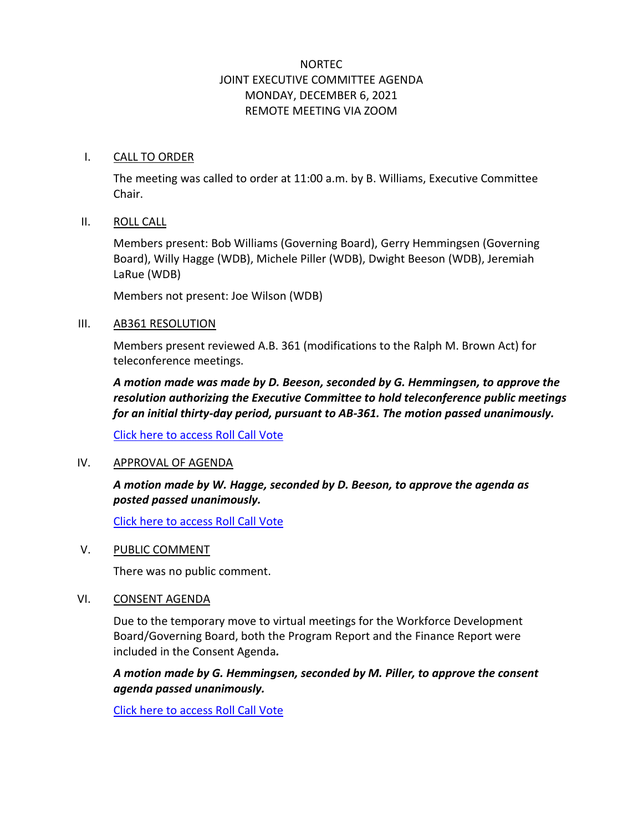# NORTEC JOINT EXECUTIVE COMMITTEE AGENDA MONDAY, DECEMBER 6, 2021 REMOTE MEETING VIA ZOOM

#### I. CALL TO ORDER

The meeting was called to order at 11:00 a.m. by B. Williams, Executive Committee Chair.

#### II. ROLL CALL

Members present: Bob Williams (Governing Board), Gerry Hemmingsen (Governing Board), Willy Hagge (WDB), Michele Piller (WDB), Dwight Beeson (WDB), Jeremiah LaRue (WDB)

Members not present: Joe Wilson (WDB)

#### III. AB361 RESOLUTION

Members present reviewed A.B. 361 (modifications to the Ralph M. Brown Act) for teleconference meetings.

*A motion made was made by D. Beeson, seconded by G. Hemmingsen, to approve the resolution authorizing the Executive Committee to hold teleconference public meetings for an initial thirty-day period, pursuant to AB-361. The motion passed unanimously.*

[Click here to access Roll Call Vote](http://ncen.org/images/Meetings/EC%20-%20December%202021/ecm%201221%20-%20rollcall.pdf)

#### IV. APPROVAL OF AGENDA

## *A motion made by W. Hagge, seconded by D. Beeson, to approve the agenda as posted passed unanimously.*

[Click here to access Roll Call Vote](http://ncen.org/images/Meetings/EC%20-%20December%202021/ecm%201221%20-%20rollcall.pdf)

#### V. PUBLIC COMMENT

There was no public comment.

#### VI. CONSENT AGENDA

Due to the temporary move to virtual meetings for the Workforce Development Board/Governing Board, both the Program Report and the Finance Report were included in the Consent Agenda*.*

*A motion made by G. Hemmingsen, seconded by M. Piller, to approve the consent agenda passed unanimously.*

[Click here to access Roll Call Vote](http://ncen.org/images/Meetings/EC%20-%20December%202021/ecm%201221%20-%20rollcall.pdf)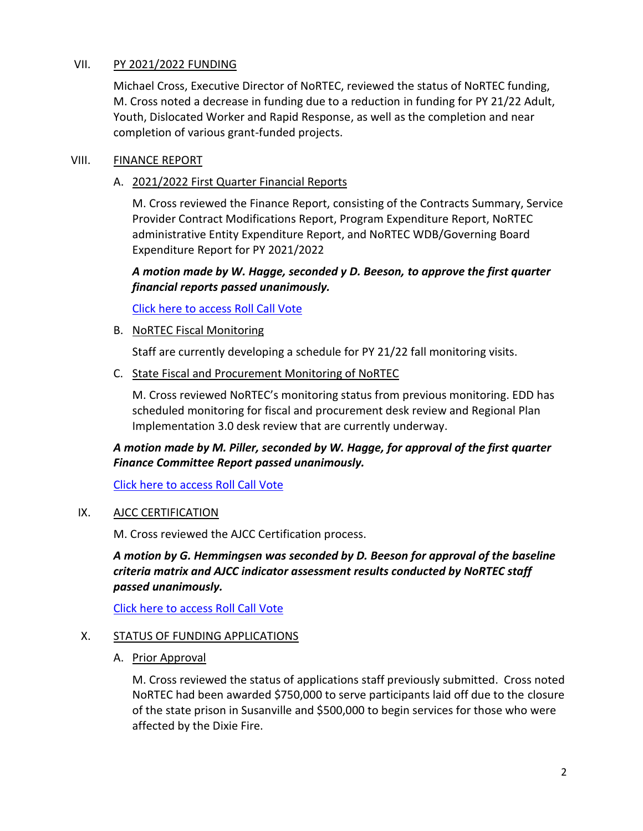### VII. PY 2021/2022 FUNDING

Michael Cross, Executive Director of NoRTEC, reviewed the status of NoRTEC funding, M. Cross noted a decrease in funding due to a reduction in funding for PY 21/22 Adult, Youth, Dislocated Worker and Rapid Response, as well as the completion and near completion of various grant-funded projects.

### VIII. FINANCE REPORT

### A. 2021/2022 First Quarter Financial Reports

M. Cross reviewed the Finance Report, consisting of the Contracts Summary, Service Provider Contract Modifications Report, Program Expenditure Report, NoRTEC administrative Entity Expenditure Report, and NoRTEC WDB/Governing Board Expenditure Report for PY 2021/2022

## *A motion made by W. Hagge, seconded y D. Beeson, to approve the first quarter financial reports passed unanimously.*

[Click here to access Roll Call Vote](http://ncen.org/images/Meetings/EC%20-%20December%202021/ecm%201221%20-%20rollcall.pdf)

B. NoRTEC Fiscal Monitoring

Staff are currently developing a schedule for PY 21/22 fall monitoring visits.

C. State Fiscal and Procurement Monitoring of NoRTEC

M. Cross reviewed NoRTEC's monitoring status from previous monitoring. EDD has scheduled monitoring for fiscal and procurement desk review and Regional Plan Implementation 3.0 desk review that are currently underway.

## *A motion made by M. Piller, seconded by W. Hagge, for approval of the first quarter Finance Committee Report passed unanimously.*

[Click here to access Roll Call Vote](http://ncen.org/images/Meetings/EC%20-%20December%202021/ecm%201221%20-%20rollcall.pdf)

## IX. AJCC CERTIFICATION

M. Cross reviewed the AJCC Certification process.

*A motion by G. Hemmingsen was seconded by D. Beeson for approval of the baseline criteria matrix and AJCC indicator assessment results conducted by NoRTEC staff passed unanimously.*

[Click here to access Roll Call Vote](http://ncen.org/images/Meetings/EC%20-%20December%202021/ecm%201221%20-%20rollcall.pdf)

## X. STATUS OF FUNDING APPLICATIONS

A. Prior Approval

M. Cross reviewed the status of applications staff previously submitted. Cross noted NoRTEC had been awarded \$750,000 to serve participants laid off due to the closure of the state prison in Susanville and \$500,000 to begin services for those who were affected by the Dixie Fire.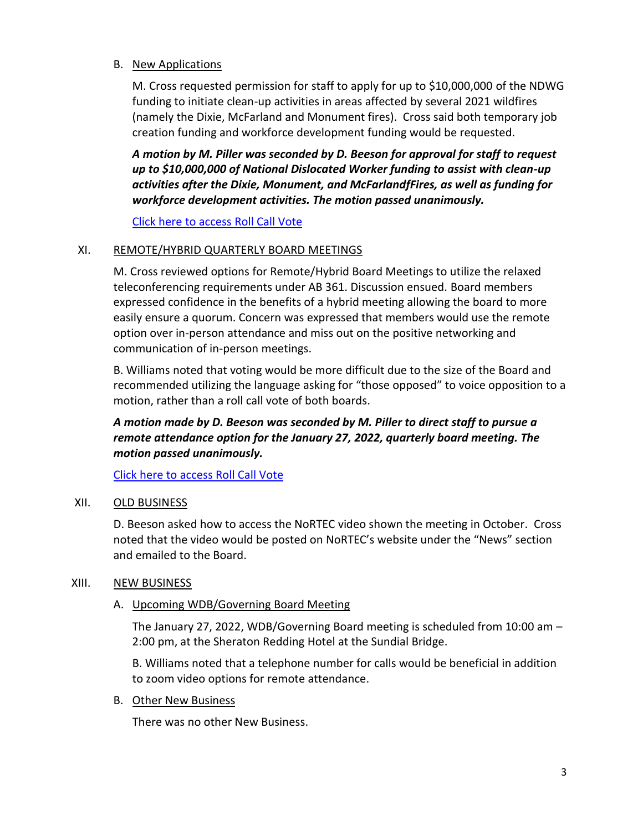### B. New Applications

M. Cross requested permission for staff to apply for up to \$10,000,000 of the NDWG funding to initiate clean-up activities in areas affected by several 2021 wildfires (namely the Dixie, McFarland and Monument fires). Cross said both temporary job creation funding and workforce development funding would be requested.

*A motion by M. Piller was seconded by D. Beeson for approval for staff to request up to \$10,000,000 of National Dislocated Worker funding to assist with clean-up activities after the Dixie, Monument, and McFarlandfFires, as well as funding for workforce development activities. The motion passed unanimously.*

[Click here to access Roll Call Vote](http://ncen.org/images/Meetings/EC%20-%20December%202021/ecm%201221%20-%20rollcall.pdf)

### XI. REMOTE/HYBRID QUARTERLY BOARD MEETINGS

M. Cross reviewed options for Remote/Hybrid Board Meetings to utilize the relaxed teleconferencing requirements under AB 361. Discussion ensued. Board members expressed confidence in the benefits of a hybrid meeting allowing the board to more easily ensure a quorum. Concern was expressed that members would use the remote option over in-person attendance and miss out on the positive networking and communication of in-person meetings.

B. Williams noted that voting would be more difficult due to the size of the Board and recommended utilizing the language asking for "those opposed" to voice opposition to a motion, rather than a roll call vote of both boards.

# *A motion made by D. Beeson was seconded by M. Piller to direct staff to pursue a remote attendance option for the January 27, 2022, quarterly board meeting. The motion passed unanimously.*

[Click here to access Roll Call Vote](http://ncen.org/images/Meetings/EC%20-%20December%202021/ecm%201221%20-%20rollcall.pdf)

#### XII. OLD BUSINESS

D. Beeson asked how to access the NoRTEC video shown the meeting in October. Cross noted that the video would be posted on NoRTEC's website under the "News" section and emailed to the Board.

#### XIII. NEW BUSINESS

#### A. Upcoming WDB/Governing Board Meeting

The January 27, 2022, WDB/Governing Board meeting is scheduled from 10:00 am – 2:00 pm, at the Sheraton Redding Hotel at the Sundial Bridge.

B. Williams noted that a telephone number for calls would be beneficial in addition to zoom video options for remote attendance.

#### B. Other New Business

There was no other New Business.